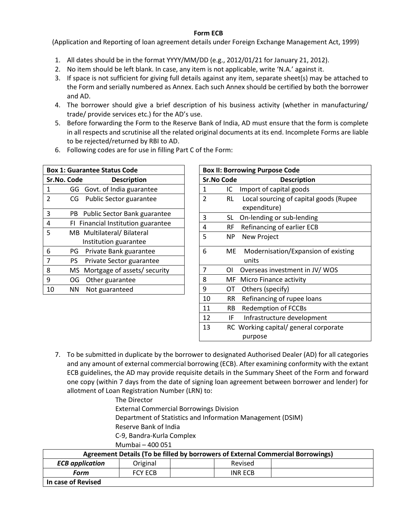## **Form ECB**

(Application and Reporting of loan agreement details under Foreign Exchange Management Act, 1999)

- 1. All dates should be in the format YYYY/MM/DD (e.g., 2012/01/21 for January 21, 2012).
- 2. No item should be left blank. In case, any item is not applicable, write 'N.A.' against it.
- 3. If space is not sufficient for giving full details against any item, separate sheet(s) may be attached to the Form and serially numbered as Annex. Each such Annex should be certified by both the borrower and AD.
- 4. The borrower should give a brief description of his business activity (whether in manufacturing/ trade/ provide services etc.) for the AD's use.
- 5. Before forwarding the Form to the Reserve Bank of India, AD must ensure that the form is complete in all respects and scrutinise all the related original documents at its end. Incomplete Forms are liable to be rejected/returned by RBI to AD.

|  |  | 6. Following codes are for use in filling Part C of the Form: |
|--|--|---------------------------------------------------------------|
|--|--|---------------------------------------------------------------|

|                | <b>Box 1: Guarantee Status Code</b> |  |  |  |  |  |  |  |  |  |  |  |
|----------------|-------------------------------------|--|--|--|--|--|--|--|--|--|--|--|
| Sr.No. Code    | <b>Description</b>                  |  |  |  |  |  |  |  |  |  |  |  |
| $\mathbf{1}$   | GG Govt. of India guarantee         |  |  |  |  |  |  |  |  |  |  |  |
| $\mathfrak{p}$ | CG Public Sector guarantee          |  |  |  |  |  |  |  |  |  |  |  |
| 3              | PB Public Sector Bank guarantee     |  |  |  |  |  |  |  |  |  |  |  |
| 4              | FI Financial Institution guarantee  |  |  |  |  |  |  |  |  |  |  |  |
| 5              | MB Multilateral/Bilateral           |  |  |  |  |  |  |  |  |  |  |  |
|                | Institution guarantee               |  |  |  |  |  |  |  |  |  |  |  |
| 6              | PG Private Bank guarantee           |  |  |  |  |  |  |  |  |  |  |  |
| 7<br>PS -      | Private Sector guarantee            |  |  |  |  |  |  |  |  |  |  |  |
| 8<br>MS l      | Mortgage of assets/ security        |  |  |  |  |  |  |  |  |  |  |  |
| 9<br>OG        | Other guarantee                     |  |  |  |  |  |  |  |  |  |  |  |
| ΝN<br>10       | Not guaranteed                      |  |  |  |  |  |  |  |  |  |  |  |

|                    | <b>Box II: Borrowing Purpose Code</b>  |  |  |  |  |  |  |  |  |  |  |  |
|--------------------|----------------------------------------|--|--|--|--|--|--|--|--|--|--|--|
| Sr.No Code         | <b>Description</b>                     |  |  |  |  |  |  |  |  |  |  |  |
| $\mathbf{1}$<br>IC | Import of capital goods                |  |  |  |  |  |  |  |  |  |  |  |
| 2<br>RL            | Local sourcing of capital goods (Rupee |  |  |  |  |  |  |  |  |  |  |  |
|                    | expenditure)                           |  |  |  |  |  |  |  |  |  |  |  |
| 3<br>SL            | On-lending or sub-lending              |  |  |  |  |  |  |  |  |  |  |  |
| 4<br>RF            | Refinancing of earlier ECB             |  |  |  |  |  |  |  |  |  |  |  |
| 5<br>NP.           | New Project                            |  |  |  |  |  |  |  |  |  |  |  |
| 6<br>МE            | Modernisation/Expansion of existing    |  |  |  |  |  |  |  |  |  |  |  |
|                    | units                                  |  |  |  |  |  |  |  |  |  |  |  |
| 7<br>ΩL            | Overseas investment in JV/WOS          |  |  |  |  |  |  |  |  |  |  |  |
| MF<br>8            | Micro Finance activity                 |  |  |  |  |  |  |  |  |  |  |  |
| 9<br>OT            | Others (specify)                       |  |  |  |  |  |  |  |  |  |  |  |
| 10<br>RR.          | Refinancing of rupee loans             |  |  |  |  |  |  |  |  |  |  |  |
| 11<br>RB.          | <b>Redemption of FCCBs</b>             |  |  |  |  |  |  |  |  |  |  |  |
| 12<br>IF           | Infrastructure development             |  |  |  |  |  |  |  |  |  |  |  |
| 13                 | RC Working capital/ general corporate  |  |  |  |  |  |  |  |  |  |  |  |
|                    | purpose                                |  |  |  |  |  |  |  |  |  |  |  |

7. To be submitted in duplicate by the borrower to designated Authorised Dealer (AD) for all categories and any amount of external commercial borrowing (ECB). After examining conformity with the extant ECB guidelines, the AD may provide requisite details in the Summary Sheet of the Form and forward one copy (within 7 days from the date of signing loan agreement between borrower and lender) for allotment of Loan Registration Number (LRN) to:

The Director External Commercial Borrowings Division Department of Statistics and Information Management (DSIM) Reserve Bank of India C-9, Bandra-Kurla Complex Mumbai – 400 051

| Agreement Details (To be filled by borrowers of External Commercial Borrowings) |                |  |         |  |  |  |  |  |  |  |  |  |
|---------------------------------------------------------------------------------|----------------|--|---------|--|--|--|--|--|--|--|--|--|
| <b>ECB</b> application                                                          | Original       |  | Revised |  |  |  |  |  |  |  |  |  |
| Form                                                                            | <b>FCY ECB</b> |  | INR ECB |  |  |  |  |  |  |  |  |  |
| In case of Revised                                                              |                |  |         |  |  |  |  |  |  |  |  |  |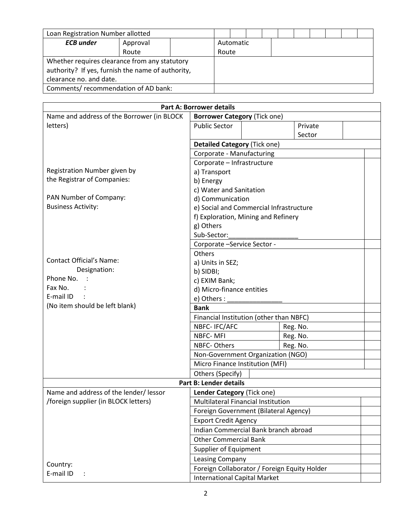| Loan Registration Number allotted                 |                                     |  |           |  |  |  |  |  |  |
|---------------------------------------------------|-------------------------------------|--|-----------|--|--|--|--|--|--|
| <b>ECB</b> under                                  | Approval                            |  | Automatic |  |  |  |  |  |  |
|                                                   | Route                               |  | Route     |  |  |  |  |  |  |
| Whether requires clearance from any statutory     |                                     |  |           |  |  |  |  |  |  |
| authority? If yes, furnish the name of authority, |                                     |  |           |  |  |  |  |  |  |
| clearance no. and date.                           |                                     |  |           |  |  |  |  |  |  |
|                                                   | Comments/recommendation of AD bank: |  |           |  |  |  |  |  |  |

| <b>Part A: Borrower details</b>            |                                         |  |                                              |  |  |  |  |  |  |  |  |
|--------------------------------------------|-----------------------------------------|--|----------------------------------------------|--|--|--|--|--|--|--|--|
| Name and address of the Borrower (in BLOCK | <b>Borrower Category (Tick one)</b>     |  |                                              |  |  |  |  |  |  |  |  |
| letters)                                   | <b>Public Sector</b>                    |  | Private                                      |  |  |  |  |  |  |  |  |
|                                            |                                         |  | Sector                                       |  |  |  |  |  |  |  |  |
|                                            | Detailed Category (Tick one)            |  |                                              |  |  |  |  |  |  |  |  |
|                                            | Corporate - Manufacturing               |  |                                              |  |  |  |  |  |  |  |  |
|                                            | Corporate - Infrastructure              |  |                                              |  |  |  |  |  |  |  |  |
| Registration Number given by               | a) Transport                            |  |                                              |  |  |  |  |  |  |  |  |
| the Registrar of Companies:                | b) Energy                               |  |                                              |  |  |  |  |  |  |  |  |
|                                            | c) Water and Sanitation                 |  |                                              |  |  |  |  |  |  |  |  |
| PAN Number of Company:                     | d) Communication                        |  |                                              |  |  |  |  |  |  |  |  |
| <b>Business Activity:</b>                  | e) Social and Commercial Infrastructure |  |                                              |  |  |  |  |  |  |  |  |
|                                            | f) Exploration, Mining and Refinery     |  |                                              |  |  |  |  |  |  |  |  |
|                                            | g) Others                               |  |                                              |  |  |  |  |  |  |  |  |
|                                            | Sub-Sector:                             |  |                                              |  |  |  |  |  |  |  |  |
|                                            | Corporate -Service Sector -             |  |                                              |  |  |  |  |  |  |  |  |
|                                            | Others                                  |  |                                              |  |  |  |  |  |  |  |  |
| <b>Contact Official's Name:</b>            | a) Units in SEZ;                        |  |                                              |  |  |  |  |  |  |  |  |
| Designation:                               | b) SIDBI;                               |  |                                              |  |  |  |  |  |  |  |  |
| Phone No.                                  | c) EXIM Bank;                           |  |                                              |  |  |  |  |  |  |  |  |
| Fax No.                                    | d) Micro-finance entities               |  |                                              |  |  |  |  |  |  |  |  |
| E-mail ID                                  | e) Others :                             |  |                                              |  |  |  |  |  |  |  |  |
| (No item should be left blank)             | <b>Bank</b>                             |  |                                              |  |  |  |  |  |  |  |  |
|                                            | Financial Institution (other than NBFC) |  |                                              |  |  |  |  |  |  |  |  |
|                                            | NBFC-IFC/AFC                            |  | Reg. No.                                     |  |  |  |  |  |  |  |  |
|                                            | <b>NBFC-MFI</b>                         |  | Reg. No.                                     |  |  |  |  |  |  |  |  |
|                                            | NBFC- Others                            |  | Reg. No.                                     |  |  |  |  |  |  |  |  |
|                                            |                                         |  | Non-Government Organization (NGO)            |  |  |  |  |  |  |  |  |
|                                            | Micro Finance Institution (MFI)         |  |                                              |  |  |  |  |  |  |  |  |
|                                            | Others (Specify)                        |  |                                              |  |  |  |  |  |  |  |  |
|                                            | <b>Part B: Lender details</b>           |  |                                              |  |  |  |  |  |  |  |  |
| Name and address of the lender/ lessor     | Lender Category (Tick one)              |  |                                              |  |  |  |  |  |  |  |  |
| /foreign supplier (in BLOCK letters)       | Multilateral Financial Institution      |  |                                              |  |  |  |  |  |  |  |  |
|                                            | Foreign Government (Bilateral Agency)   |  |                                              |  |  |  |  |  |  |  |  |
|                                            | <b>Export Credit Agency</b>             |  |                                              |  |  |  |  |  |  |  |  |
|                                            | Indian Commercial Bank branch abroad    |  |                                              |  |  |  |  |  |  |  |  |
|                                            | <b>Other Commercial Bank</b>            |  |                                              |  |  |  |  |  |  |  |  |
|                                            | Supplier of Equipment                   |  |                                              |  |  |  |  |  |  |  |  |
|                                            | Leasing Company                         |  |                                              |  |  |  |  |  |  |  |  |
| Country:                                   |                                         |  | Foreign Collaborator / Foreign Equity Holder |  |  |  |  |  |  |  |  |
| E-mail ID                                  | <b>International Capital Market</b>     |  |                                              |  |  |  |  |  |  |  |  |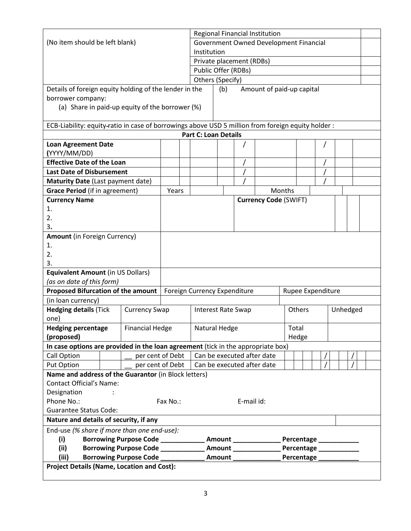|                                                                                  |                                   |       |                                                   | Regional Financial Institution                                                                     |  |                                        |                        |        |                         |  |          |  |  |
|----------------------------------------------------------------------------------|-----------------------------------|-------|---------------------------------------------------|----------------------------------------------------------------------------------------------------|--|----------------------------------------|------------------------|--------|-------------------------|--|----------|--|--|
| (No item should be left blank)                                                   |                                   |       |                                                   |                                                                                                    |  | Government Owned Development Financial |                        |        |                         |  |          |  |  |
|                                                                                  |                                   |       | Institution                                       |                                                                                                    |  |                                        |                        |        |                         |  |          |  |  |
|                                                                                  |                                   |       |                                                   | Private placement (RDBs)                                                                           |  |                                        |                        |        |                         |  |          |  |  |
|                                                                                  |                                   |       |                                                   | Public Offer (RDBs)                                                                                |  |                                        |                        |        |                         |  |          |  |  |
|                                                                                  |                                   |       |                                                   | Others (Specify)                                                                                   |  |                                        |                        |        |                         |  |          |  |  |
| Details of foreign equity holding of the lender in the                           |                                   |       |                                                   | (b)                                                                                                |  | Amount of paid-up capital              |                        |        |                         |  |          |  |  |
| borrower company:                                                                |                                   |       |                                                   |                                                                                                    |  |                                        |                        |        |                         |  |          |  |  |
| (a) Share in paid-up equity of the borrower (%)                                  |                                   |       |                                                   |                                                                                                    |  |                                        |                        |        |                         |  |          |  |  |
|                                                                                  |                                   |       |                                                   |                                                                                                    |  |                                        |                        |        |                         |  |          |  |  |
|                                                                                  |                                   |       |                                                   | ECB-Liability: equity-ratio in case of borrowings above USD 5 million from foreign equity holder : |  |                                        |                        |        |                         |  |          |  |  |
|                                                                                  |                                   |       | <b>Part C: Loan Details</b>                       |                                                                                                    |  |                                        |                        |        |                         |  |          |  |  |
| <b>Loan Agreement Date</b>                                                       |                                   |       |                                                   |                                                                                                    |  |                                        |                        |        |                         |  |          |  |  |
| (YYYY/MM/DD)                                                                     |                                   |       |                                                   |                                                                                                    |  |                                        |                        |        |                         |  |          |  |  |
| <b>Effective Date of the Loan</b>                                                |                                   |       |                                                   |                                                                                                    |  |                                        |                        |        |                         |  |          |  |  |
| <b>Last Date of Disbursement</b>                                                 |                                   |       |                                                   |                                                                                                    |  |                                        |                        |        |                         |  |          |  |  |
| Maturity Date (Last payment date)                                                |                                   |       |                                                   |                                                                                                    |  |                                        |                        |        |                         |  |          |  |  |
| Grace Period (if in agreement)                                                   |                                   | Years |                                                   |                                                                                                    |  |                                        | Months                 |        |                         |  |          |  |  |
| <b>Currency Name</b>                                                             |                                   |       |                                                   |                                                                                                    |  | <b>Currency Code (SWIFT)</b>           |                        |        |                         |  |          |  |  |
| 1.                                                                               |                                   |       |                                                   |                                                                                                    |  |                                        |                        |        |                         |  |          |  |  |
| 2.                                                                               |                                   |       |                                                   |                                                                                                    |  |                                        |                        |        |                         |  |          |  |  |
| 3.                                                                               |                                   |       |                                                   |                                                                                                    |  |                                        |                        |        |                         |  |          |  |  |
| <b>Amount (in Foreign Currency)</b>                                              |                                   |       |                                                   |                                                                                                    |  |                                        |                        |        |                         |  |          |  |  |
| 1.                                                                               |                                   |       |                                                   |                                                                                                    |  |                                        |                        |        |                         |  |          |  |  |
| 2.                                                                               |                                   |       |                                                   |                                                                                                    |  |                                        |                        |        |                         |  |          |  |  |
| 3.                                                                               |                                   |       |                                                   |                                                                                                    |  |                                        |                        |        |                         |  |          |  |  |
| <b>Equivalent Amount (in US Dollars)</b>                                         |                                   |       |                                                   |                                                                                                    |  |                                        |                        |        |                         |  |          |  |  |
| (as on date of this form)                                                        |                                   |       |                                                   |                                                                                                    |  |                                        |                        |        |                         |  |          |  |  |
| <b>Proposed Bifurcation of the amount</b>                                        |                                   |       | Foreign Currency Expenditure<br>Rupee Expenditure |                                                                                                    |  |                                        |                        |        |                         |  |          |  |  |
| (in loan currency)                                                               |                                   |       |                                                   |                                                                                                    |  |                                        |                        |        |                         |  |          |  |  |
| <b>Hedging details (Tick</b>                                                     | <b>Currency Swap</b>              |       |                                                   | Interest Rate Swap                                                                                 |  |                                        |                        | Others |                         |  | Unhedged |  |  |
| one)                                                                             |                                   |       |                                                   |                                                                                                    |  |                                        |                        |        |                         |  |          |  |  |
| <b>Hedging percentage</b>                                                        | <b>Financial Hedge</b>            |       |                                                   | Natural Hedge                                                                                      |  |                                        | Total                  |        |                         |  |          |  |  |
| (proposed)                                                                       |                                   |       |                                                   |                                                                                                    |  |                                        |                        | Hedge  |                         |  |          |  |  |
| In case options are provided in the loan agreement (tick in the appropriate box) |                                   |       |                                                   |                                                                                                    |  |                                        |                        |        |                         |  |          |  |  |
| Call Option                                                                      | per cent of Debt                  |       |                                                   |                                                                                                    |  | Can be executed after date             |                        |        |                         |  |          |  |  |
| Put Option                                                                       | per cent of Debt                  |       |                                                   |                                                                                                    |  | Can be executed after date             |                        |        |                         |  |          |  |  |
| Name and address of the Guarantor (in Block letters)                             |                                   |       |                                                   |                                                                                                    |  |                                        |                        |        |                         |  |          |  |  |
| <b>Contact Official's Name:</b>                                                  |                                   |       |                                                   |                                                                                                    |  |                                        |                        |        |                         |  |          |  |  |
| Designation                                                                      |                                   |       |                                                   |                                                                                                    |  |                                        |                        |        |                         |  |          |  |  |
| Phone No.:                                                                       | Fax No.:                          |       |                                                   |                                                                                                    |  |                                        |                        |        |                         |  |          |  |  |
| <b>Guarantee Status Code:</b>                                                    |                                   |       |                                                   |                                                                                                    |  |                                        |                        |        |                         |  |          |  |  |
| Nature and details of security, if any                                           |                                   |       |                                                   |                                                                                                    |  |                                        |                        |        |                         |  |          |  |  |
| End-use (% share if more than one end-use):                                      |                                   |       |                                                   |                                                                                                    |  |                                        |                        |        |                         |  |          |  |  |
| (i)                                                                              | Borrowing Purpose Code __________ |       |                                                   |                                                                                                    |  | Amount _____________                   |                        |        | Percentage ___________  |  |          |  |  |
| (ii)                                                                             | Borrowing Purpose Code __________ |       |                                                   |                                                                                                    |  | Amount _______________                 | Percentage ___________ |        |                         |  |          |  |  |
| (iii)                                                                            | Borrowing Purpose Code _____      |       |                                                   |                                                                                                    |  | <b>Amount</b>                          |                        |        | Percentage ____________ |  |          |  |  |
| <b>Project Details (Name, Location and Cost):</b>                                |                                   |       |                                                   |                                                                                                    |  |                                        |                        |        |                         |  |          |  |  |
|                                                                                  |                                   |       |                                                   |                                                                                                    |  |                                        |                        |        |                         |  |          |  |  |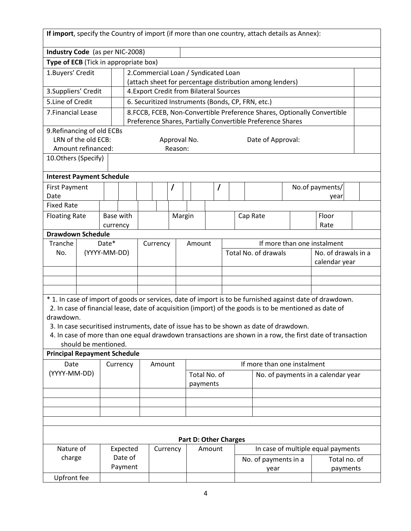|                                                                               | If import, specify the Country of import (if more than one country, attach details as Annex): |              |          |  |                                         |          |  |                              |        |   |  |  |                                                                                                                                       |                                                                                                           |  |
|-------------------------------------------------------------------------------|-----------------------------------------------------------------------------------------------|--------------|----------|--|-----------------------------------------|----------|--|------------------------------|--------|---|--|--|---------------------------------------------------------------------------------------------------------------------------------------|-----------------------------------------------------------------------------------------------------------|--|
| Industry Code (as per NIC-2008)                                               |                                                                                               |              |          |  |                                         |          |  |                              |        |   |  |  |                                                                                                                                       |                                                                                                           |  |
| Type of ECB (Tick in appropriate box)<br>2. Commercial Loan / Syndicated Loan |                                                                                               |              |          |  |                                         |          |  |                              |        |   |  |  |                                                                                                                                       |                                                                                                           |  |
| 1. Buyers' Credit                                                             |                                                                                               |              |          |  |                                         |          |  |                              |        |   |  |  |                                                                                                                                       |                                                                                                           |  |
|                                                                               |                                                                                               |              |          |  |                                         |          |  |                              |        |   |  |  | (attach sheet for percentage distribution among lenders)                                                                              |                                                                                                           |  |
| 3.Suppliers' Credit                                                           |                                                                                               |              |          |  | 4. Export Credit from Bilateral Sources |          |  |                              |        |   |  |  |                                                                                                                                       |                                                                                                           |  |
| 5.Line of Credit                                                              |                                                                                               |              |          |  |                                         |          |  |                              |        |   |  |  | 6. Securitized Instruments (Bonds, CP, FRN, etc.)                                                                                     |                                                                                                           |  |
| 7. Financial Lease                                                            |                                                                                               |              |          |  |                                         |          |  |                              |        |   |  |  | 8.FCCB, FCEB, Non-Convertible Preference Shares, Optionally Convertible<br>Preference Shares, Partially Convertible Preference Shares |                                                                                                           |  |
| 9. Refinancing of old ECBs                                                    |                                                                                               |              |          |  |                                         |          |  |                              |        |   |  |  |                                                                                                                                       |                                                                                                           |  |
| LRN of the old ECB:<br>Approval No.<br>Date of Approval:                      |                                                                                               |              |          |  |                                         |          |  |                              |        |   |  |  |                                                                                                                                       |                                                                                                           |  |
| Amount refinanced:<br>Reason:                                                 |                                                                                               |              |          |  |                                         |          |  |                              |        |   |  |  |                                                                                                                                       |                                                                                                           |  |
| 10.Others (Specify)                                                           |                                                                                               |              |          |  |                                         |          |  |                              |        |   |  |  |                                                                                                                                       |                                                                                                           |  |
| <b>Interest Payment Schedule</b>                                              |                                                                                               |              |          |  |                                         |          |  |                              |        |   |  |  |                                                                                                                                       |                                                                                                           |  |
| <b>First Payment</b><br>Date                                                  |                                                                                               |              |          |  |                                         | $\prime$ |  |                              |        | 7 |  |  |                                                                                                                                       | No.of payments/<br>year                                                                                   |  |
| <b>Fixed Rate</b>                                                             |                                                                                               |              |          |  |                                         |          |  |                              |        |   |  |  |                                                                                                                                       |                                                                                                           |  |
| Base with<br><b>Floating Rate</b><br>Margin<br>Cap Rate<br>Floor              |                                                                                               |              |          |  |                                         |          |  |                              |        |   |  |  |                                                                                                                                       |                                                                                                           |  |
| Rate<br>currency                                                              |                                                                                               |              |          |  |                                         |          |  |                              |        |   |  |  |                                                                                                                                       |                                                                                                           |  |
| <b>Drawdown Schedule</b><br>If more than one instalment                       |                                                                                               |              |          |  |                                         |          |  |                              |        |   |  |  |                                                                                                                                       |                                                                                                           |  |
| Tranche                                                                       |                                                                                               | Date*        |          |  | Currency                                |          |  | Amount                       |        |   |  |  |                                                                                                                                       |                                                                                                           |  |
| No.                                                                           |                                                                                               | (YYYY-MM-DD) |          |  |                                         |          |  |                              |        |   |  |  | Total No. of drawals                                                                                                                  | No. of drawals in a<br>calendar year                                                                      |  |
|                                                                               |                                                                                               |              |          |  |                                         |          |  |                              |        |   |  |  |                                                                                                                                       |                                                                                                           |  |
|                                                                               |                                                                                               |              |          |  |                                         |          |  |                              |        |   |  |  |                                                                                                                                       |                                                                                                           |  |
|                                                                               |                                                                                               |              |          |  |                                         |          |  |                              |        |   |  |  |                                                                                                                                       |                                                                                                           |  |
|                                                                               |                                                                                               |              |          |  |                                         |          |  |                              |        |   |  |  |                                                                                                                                       | *1. In case of import of goods or services, date of import is to be furnished against date of drawdown.   |  |
|                                                                               |                                                                                               |              |          |  |                                         |          |  |                              |        |   |  |  | 2. In case of financial lease, date of acquisition (import) of the goods is to be mentioned as date of                                |                                                                                                           |  |
| drawdown.                                                                     |                                                                                               |              |          |  |                                         |          |  |                              |        |   |  |  |                                                                                                                                       |                                                                                                           |  |
|                                                                               |                                                                                               |              |          |  |                                         |          |  |                              |        |   |  |  | 3. In case securitised instruments, date of issue has to be shown as date of drawdown.                                                |                                                                                                           |  |
|                                                                               | should be mentioned.                                                                          |              |          |  |                                         |          |  |                              |        |   |  |  |                                                                                                                                       | 4. In case of more than one equal drawdown transactions are shown in a row, the first date of transaction |  |
| <b>Principal Repayment Schedule</b>                                           |                                                                                               |              |          |  |                                         |          |  |                              |        |   |  |  |                                                                                                                                       |                                                                                                           |  |
| Date                                                                          |                                                                                               |              | Currency |  | Amount                                  |          |  |                              |        |   |  |  | If more than one instalment                                                                                                           |                                                                                                           |  |
| (YYYY-MM-DD)                                                                  |                                                                                               |              |          |  |                                         |          |  | Total No. of                 |        |   |  |  |                                                                                                                                       | No. of payments in a calendar year                                                                        |  |
|                                                                               |                                                                                               |              |          |  |                                         |          |  | payments                     |        |   |  |  |                                                                                                                                       |                                                                                                           |  |
|                                                                               |                                                                                               |              |          |  |                                         |          |  |                              |        |   |  |  |                                                                                                                                       |                                                                                                           |  |
|                                                                               |                                                                                               |              |          |  |                                         |          |  |                              |        |   |  |  |                                                                                                                                       |                                                                                                           |  |
|                                                                               |                                                                                               |              |          |  |                                         |          |  |                              |        |   |  |  |                                                                                                                                       |                                                                                                           |  |
|                                                                               |                                                                                               |              |          |  |                                         |          |  |                              |        |   |  |  |                                                                                                                                       |                                                                                                           |  |
|                                                                               |                                                                                               |              |          |  |                                         |          |  | <b>Part D: Other Charges</b> |        |   |  |  |                                                                                                                                       |                                                                                                           |  |
| Nature of                                                                     |                                                                                               |              | Expected |  | Currency                                |          |  |                              | Amount |   |  |  |                                                                                                                                       | In case of multiple equal payments                                                                        |  |
| charge                                                                        |                                                                                               |              | Date of  |  |                                         |          |  |                              |        |   |  |  | No. of payments in a                                                                                                                  | Total no. of                                                                                              |  |
|                                                                               |                                                                                               |              | Payment  |  |                                         |          |  |                              |        |   |  |  | year                                                                                                                                  | payments                                                                                                  |  |
| Upfront fee                                                                   |                                                                                               |              |          |  |                                         |          |  |                              |        |   |  |  |                                                                                                                                       |                                                                                                           |  |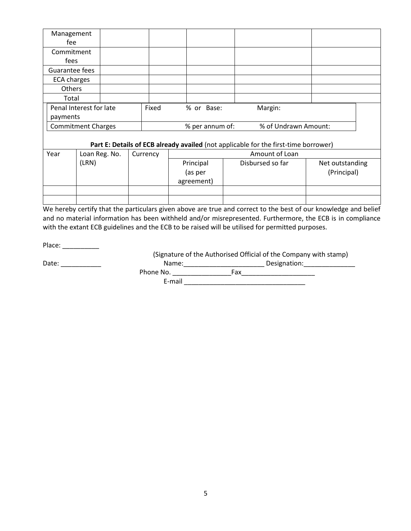| Management                                                |                           |  |          |  |            |           |                 |  |                  |                                                                                     |  |                 |  |
|-----------------------------------------------------------|---------------------------|--|----------|--|------------|-----------|-----------------|--|------------------|-------------------------------------------------------------------------------------|--|-----------------|--|
| fee                                                       |                           |  |          |  |            |           |                 |  |                  |                                                                                     |  |                 |  |
| Commitment                                                |                           |  |          |  |            |           |                 |  |                  |                                                                                     |  |                 |  |
| fees                                                      |                           |  |          |  |            |           |                 |  |                  |                                                                                     |  |                 |  |
| Guarantee fees                                            |                           |  |          |  |            |           |                 |  |                  |                                                                                     |  |                 |  |
| <b>ECA charges</b>                                        |                           |  |          |  |            |           |                 |  |                  |                                                                                     |  |                 |  |
| <b>Others</b>                                             |                           |  |          |  |            |           |                 |  |                  |                                                                                     |  |                 |  |
| Total                                                     |                           |  |          |  |            |           |                 |  |                  |                                                                                     |  |                 |  |
| Penal Interest for late<br>Fixed<br>% or Base:<br>Margin: |                           |  |          |  |            |           |                 |  |                  |                                                                                     |  |                 |  |
| payments                                                  |                           |  |          |  |            |           |                 |  |                  |                                                                                     |  |                 |  |
|                                                           | <b>Commitment Charges</b> |  |          |  |            |           | % per annum of: |  |                  | % of Undrawn Amount:                                                                |  |                 |  |
|                                                           |                           |  |          |  |            |           |                 |  |                  |                                                                                     |  |                 |  |
|                                                           |                           |  |          |  |            |           |                 |  |                  | Part E: Details of ECB already availed (not applicable for the first-time borrower) |  |                 |  |
| Year                                                      | Loan Reg. No.             |  | Currency |  |            |           |                 |  |                  | Amount of Loan                                                                      |  |                 |  |
|                                                           | (LRN)                     |  |          |  |            | Principal |                 |  | Disbursed so far |                                                                                     |  | Net outstanding |  |
|                                                           |                           |  |          |  |            | (as per   |                 |  |                  |                                                                                     |  | (Principal)     |  |
|                                                           |                           |  |          |  | agreement) |           |                 |  |                  |                                                                                     |  |                 |  |
|                                                           |                           |  |          |  |            |           |                 |  |                  |                                                                                     |  |                 |  |
|                                                           |                           |  |          |  |            |           |                 |  |                  |                                                                                     |  |                 |  |

We hereby certify that the particulars given above are true and correct to the best of our knowledge and belief and no material information has been withheld and/or misrepresented. Furthermore, the ECB is in compliance with the extant ECB guidelines and the ECB to be raised will be utilised for permitted purposes.

Place: \_\_\_\_\_\_\_\_\_\_\_\_\_

(Signature of the Authorised Official of the Company with stamp)

Date: \_\_\_\_\_\_\_\_\_\_\_ Name:\_\_\_\_\_\_\_\_\_\_\_\_\_\_\_\_\_\_\_\_\_\_ Designation:\_\_\_\_\_\_\_\_\_\_\_\_\_\_ Phone No. \_\_\_\_\_\_\_\_\_\_\_\_\_\_\_\_Fax\_\_\_\_\_\_\_\_\_\_\_\_\_\_\_\_\_\_\_\_

E-mail \_\_\_\_\_\_\_\_\_\_\_\_\_\_\_\_\_\_\_\_\_\_\_\_\_\_\_\_\_\_\_\_\_

5